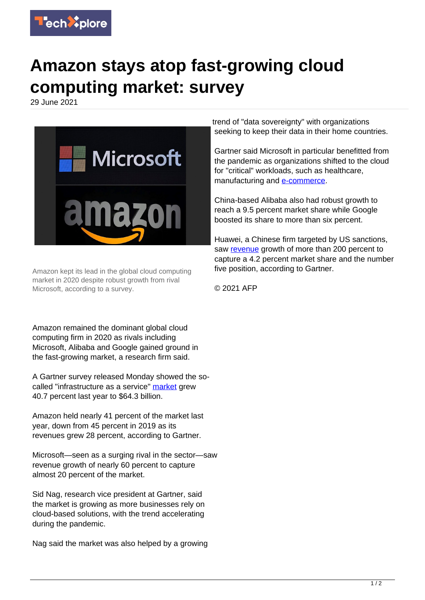

## **Amazon stays atop fast-growing cloud computing market: survey**

29 June 2021



Amazon kept its lead in the global cloud computing market in 2020 despite robust growth from rival Microsoft, according to a survey.

Amazon remained the dominant global cloud computing firm in 2020 as rivals including Microsoft, Alibaba and Google gained ground in the fast-growing market, a research firm said.

A Gartner survey released Monday showed the socalled "infrastructure as a service" [market](https://techxplore.com/tags/market/) grew 40.7 percent last year to \$64.3 billion.

Amazon held nearly 41 percent of the market last year, down from 45 percent in 2019 as its revenues grew 28 percent, according to Gartner.

Microsoft—seen as a surging rival in the sector—saw revenue growth of nearly 60 percent to capture almost 20 percent of the market.

Sid Nag, research vice president at Gartner, said the market is growing as more businesses rely on cloud-based solutions, with the trend accelerating during the pandemic.

Nag said the market was also helped by a growing

trend of "data sovereignty" with organizations seeking to keep their data in their home countries.

Gartner said Microsoft in particular benefitted from the pandemic as organizations shifted to the cloud for "critical" workloads, such as healthcare, manufacturing and [e-commerce.](https://techxplore.com/tags/e-commerce/)

China-based Alibaba also had robust growth to reach a 9.5 percent market share while Google boosted its share to more than six percent.

Huawei, a Chinese firm targeted by US sanctions, saw [revenue](https://techxplore.com/tags/revenue/) growth of more than 200 percent to capture a 4.2 percent market share and the number five position, according to Gartner.

© 2021 AFP